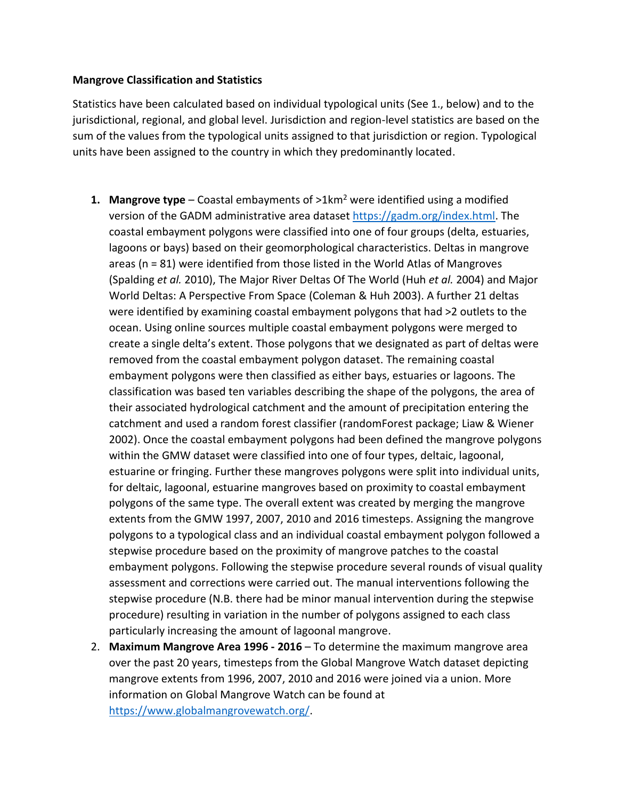## **Mangrove Classification and Statistics**

Statistics have been calculated based on individual typological units (See 1., below) and to the jurisdictional, regional, and global level. Jurisdiction and region-level statistics are based on the sum of the values from the typological units assigned to that jurisdiction or region. Typological units have been assigned to the country in which they predominantly located.

- **1. Mangrove type** Coastal embayments of >1km<sup>2</sup> were identified using a modified version of the GADM administrative area dataset [https://gadm.org/index.html.](https://gadm.org/index.html) The coastal embayment polygons were classified into one of four groups (delta, estuaries, lagoons or bays) based on their geomorphological characteristics. Deltas in mangrove areas (n = 81) were identified from those listed in the World Atlas of Mangroves (Spalding *et al.* 2010), The Major River Deltas Of The World (Huh *et al.* 2004) and Major World Deltas: A Perspective From Space (Coleman & Huh 2003). A further 21 deltas were identified by examining coastal embayment polygons that had >2 outlets to the ocean. Using online sources multiple coastal embayment polygons were merged to create a single delta's extent. Those polygons that we designated as part of deltas were removed from the coastal embayment polygon dataset. The remaining coastal embayment polygons were then classified as either bays, estuaries or lagoons. The classification was based ten variables describing the shape of the polygons, the area of their associated hydrological catchment and the amount of precipitation entering the catchment and used a random forest classifier (randomForest package; Liaw & Wiener 2002). Once the coastal embayment polygons had been defined the mangrove polygons within the GMW dataset were classified into one of four types, deltaic, lagoonal, estuarine or fringing. Further these mangroves polygons were split into individual units, for deltaic, lagoonal, estuarine mangroves based on proximity to coastal embayment polygons of the same type. The overall extent was created by merging the mangrove extents from the GMW 1997, 2007, 2010 and 2016 timesteps. Assigning the mangrove polygons to a typological class and an individual coastal embayment polygon followed a stepwise procedure based on the proximity of mangrove patches to the coastal embayment polygons. Following the stepwise procedure several rounds of visual quality assessment and corrections were carried out. The manual interventions following the stepwise procedure (N.B. there had be minor manual intervention during the stepwise procedure) resulting in variation in the number of polygons assigned to each class particularly increasing the amount of lagoonal mangrove.
- 2. **Maximum Mangrove Area 1996 - 2016** To determine the maximum mangrove area over the past 20 years, timesteps from the Global Mangrove Watch dataset depicting mangrove extents from 1996, 2007, 2010 and 2016 were joined via a union. More information on Global Mangrove Watch can be found at [https://www.globalmangrovewatch.org/.](https://www.globalmangrovewatch.org/)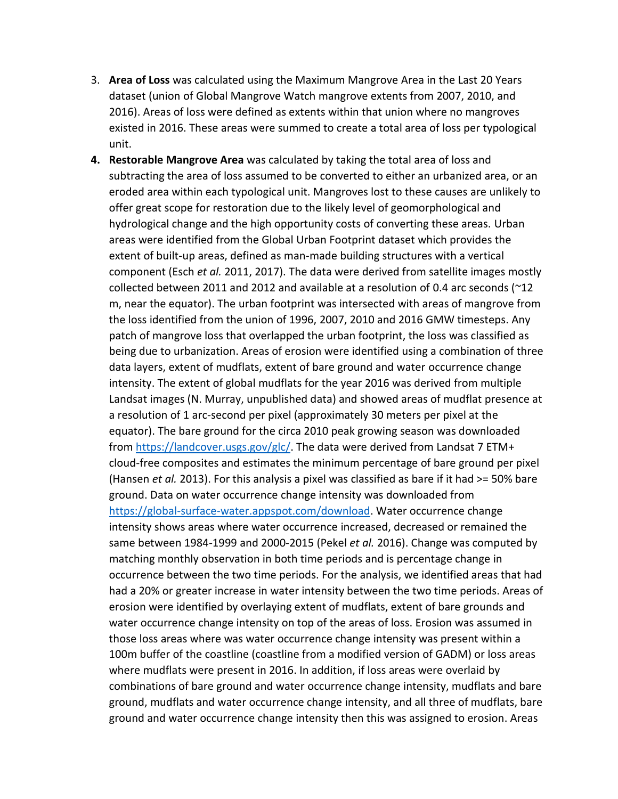- 3. **Area of Loss** was calculated using the Maximum Mangrove Area in the Last 20 Years dataset (union of Global Mangrove Watch mangrove extents from 2007, 2010, and 2016). Areas of loss were defined as extents within that union where no mangroves existed in 2016. These areas were summed to create a total area of loss per typological unit.
- **4. Restorable Mangrove Area** was calculated by taking the total area of loss and subtracting the area of loss assumed to be converted to either an urbanized area, or an eroded area within each typological unit. Mangroves lost to these causes are unlikely to offer great scope for restoration due to the likely level of geomorphological and hydrological change and the high opportunity costs of converting these areas. Urban areas were identified from the Global Urban Footprint dataset which provides the extent of built-up areas, defined as man-made building structures with a vertical component (Esch *et al.* 2011, 2017). The data were derived from satellite images mostly collected between 2011 and 2012 and available at a resolution of 0.4 arc seconds ( $\sim$ 12 m, near the equator). The urban footprint was intersected with areas of mangrove from the loss identified from the union of 1996, 2007, 2010 and 2016 GMW timesteps. Any patch of mangrove loss that overlapped the urban footprint, the loss was classified as being due to urbanization. Areas of erosion were identified using a combination of three data layers, extent of mudflats, extent of bare ground and water occurrence change intensity. The extent of global mudflats for the year 2016 was derived from multiple Landsat images (N. Murray, unpublished data) and showed areas of mudflat presence at a resolution of 1 arc-second per pixel (approximately 30 meters per pixel at the equator). The bare ground for the circa 2010 peak growing season was downloaded from [https://landcover.usgs.gov/glc/.](https://landcover.usgs.gov/glc/) The data were derived from Landsat 7 ETM+ cloud-free composites and estimates the minimum percentage of bare ground per pixel (Hansen *et al.* 2013). For this analysis a pixel was classified as bare if it had >= 50% bare ground. Data on water occurrence change intensity was downloaded from [https://global-surface-water.appspot.com/download.](https://global-surface-water.appspot.com/download) Water occurrence change intensity shows areas where water occurrence increased, decreased or remained the same between 1984-1999 and 2000-2015 (Pekel *et al.* 2016). Change was computed by matching monthly observation in both time periods and is percentage change in occurrence between the two time periods. For the analysis, we identified areas that had had a 20% or greater increase in water intensity between the two time periods. Areas of erosion were identified by overlaying extent of mudflats, extent of bare grounds and water occurrence change intensity on top of the areas of loss. Erosion was assumed in those loss areas where was water occurrence change intensity was present within a 100m buffer of the coastline (coastline from a modified version of GADM) or loss areas where mudflats were present in 2016. In addition, if loss areas were overlaid by combinations of bare ground and water occurrence change intensity, mudflats and bare ground, mudflats and water occurrence change intensity, and all three of mudflats, bare ground and water occurrence change intensity then this was assigned to erosion. Areas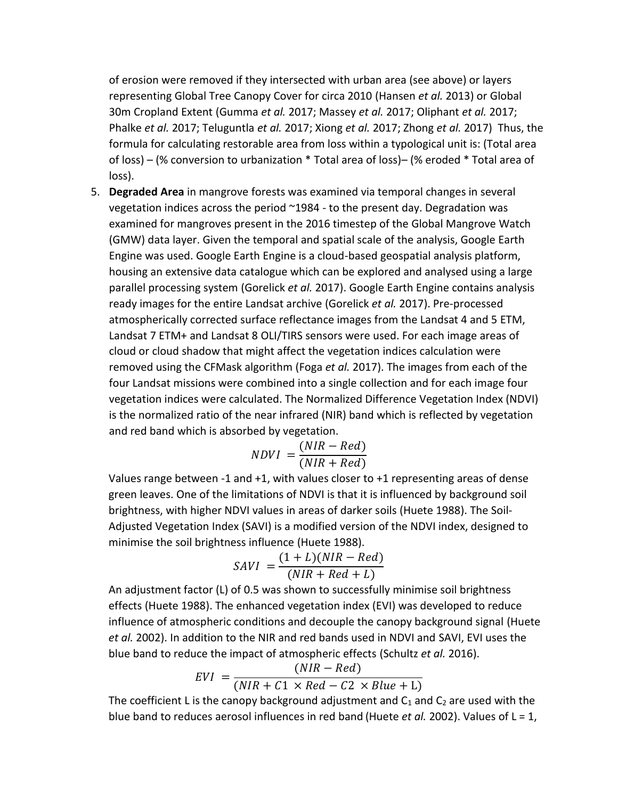of erosion were removed if they intersected with urban area (see above) or layers representing Global Tree Canopy Cover for circa 2010 (Hansen *et al.* 2013) or Global 30m Cropland Extent (Gumma *et al.* 2017; Massey *et al.* 2017; Oliphant *et al.* 2017; Phalke *et al.* 2017; Teluguntla *et al.* 2017; Xiong *et al.* 2017; Zhong *et al.* 2017) Thus, the formula for calculating restorable area from loss within a typological unit is: (Total area of loss) – (% conversion to urbanization \* Total area of loss)– (% eroded \* Total area of loss).

5. **Degraded Area** in mangrove forests was examined via temporal changes in several vegetation indices across the period ~1984 - to the present day. Degradation was examined for mangroves present in the 2016 timestep of the Global Mangrove Watch (GMW) data layer. Given the temporal and spatial scale of the analysis, Google Earth Engine was used. Google Earth Engine is a cloud-based geospatial analysis platform, housing an extensive data catalogue which can be explored and analysed using a large parallel processing system (Gorelick *et al.* 2017). Google Earth Engine contains analysis ready images for the entire Landsat archive (Gorelick *et al.* 2017). Pre-processed atmospherically corrected surface reflectance images from the Landsat 4 and 5 ETM, Landsat 7 ETM+ and Landsat 8 OLI/TIRS sensors were used. For each image areas of cloud or cloud shadow that might affect the vegetation indices calculation were removed using the CFMask algorithm (Foga *et al.* 2017). The images from each of the four Landsat missions were combined into a single collection and for each image four vegetation indices were calculated. The Normalized Difference Vegetation Index (NDVI) is the normalized ratio of the near infrared (NIR) band which is reflected by vegetation and red band which is absorbed by vegetation.

$$
NDVI = \frac{(NIR - Red)}{(NIR + Red)}
$$

Values range between -1 and +1, with values closer to +1 representing areas of dense green leaves. One of the limitations of NDVI is that it is influenced by background soil brightness, with higher NDVI values in areas of darker soils (Huete 1988). The Soil-Adjusted Vegetation Index (SAVI) is a modified version of the NDVI index, designed to minimise the soil brightness influence (Huete 1988).

$$
SAVI = \frac{(1+L)(NIR - Red)}{(NIR + Red + L)}
$$

An adjustment factor (L) of 0.5 was shown to successfully minimise soil brightness effects (Huete 1988). The enhanced vegetation index (EVI) was developed to reduce influence of atmospheric conditions and decouple the canopy background signal (Huete *et al.* 2002). In addition to the NIR and red bands used in NDVI and SAVI, EVI uses the blue band to reduce the impact of atmospheric effects (Schultz *et al.* 2016).

$$
EVI = \frac{(NIR - Red)}{(NIR + C1 \times Red - C2 \times Blue + L)}
$$

The coefficient L is the canopy background adjustment and  $C_1$  and  $C_2$  are used with the blue band to reduces aerosol influences in red band (Huete *et al.* 2002). Values of L = 1,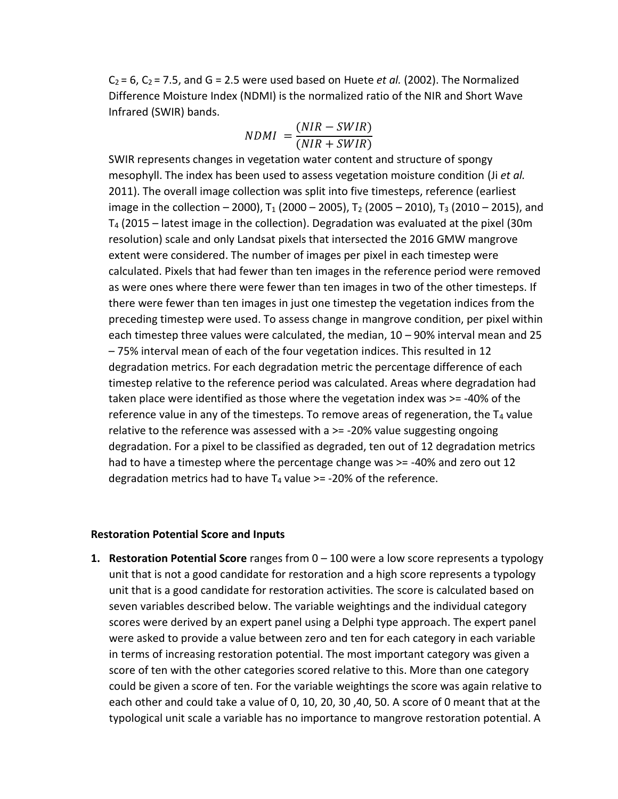$C_2 = 6$ ,  $C_2 = 7.5$ , and  $G = 2.5$  were used based on Huete *et al.* (2002). The Normalized Difference Moisture Index (NDMI) is the normalized ratio of the NIR and Short Wave Infrared (SWIR) bands.

$$
NDMI = \frac{(NIR - SWIR)}{(NIR + SWIR)}
$$

SWIR represents changes in vegetation water content and structure of spongy mesophyll. The index has been used to assess vegetation moisture condition (Ji *et al.* 2011). The overall image collection was split into five timesteps, reference (earliest image in the collection – 2000),  $T_1$  (2000 – 2005),  $T_2$  (2005 – 2010),  $T_3$  (2010 – 2015), and T<sup>4</sup> (2015 – latest image in the collection). Degradation was evaluated at the pixel (30m resolution) scale and only Landsat pixels that intersected the 2016 GMW mangrove extent were considered. The number of images per pixel in each timestep were calculated. Pixels that had fewer than ten images in the reference period were removed as were ones where there were fewer than ten images in two of the other timesteps. If there were fewer than ten images in just one timestep the vegetation indices from the preceding timestep were used. To assess change in mangrove condition, per pixel within each timestep three values were calculated, the median, 10 – 90% interval mean and 25 – 75% interval mean of each of the four vegetation indices. This resulted in 12 degradation metrics. For each degradation metric the percentage difference of each timestep relative to the reference period was calculated. Areas where degradation had taken place were identified as those where the vegetation index was >= -40% of the reference value in any of the timesteps. To remove areas of regeneration, the  $T_4$  value relative to the reference was assessed with a >= -20% value suggesting ongoing degradation. For a pixel to be classified as degraded, ten out of 12 degradation metrics had to have a timestep where the percentage change was  $>=$  -40% and zero out 12 degradation metrics had to have  $T_4$  value  $\ge$  = -20% of the reference.

## **Restoration Potential Score and Inputs**

**1. Restoration Potential Score** ranges from 0 – 100 were a low score represents a typology unit that is not a good candidate for restoration and a high score represents a typology unit that is a good candidate for restoration activities. The score is calculated based on seven variables described below. The variable weightings and the individual category scores were derived by an expert panel using a Delphi type approach. The expert panel were asked to provide a value between zero and ten for each category in each variable in terms of increasing restoration potential. The most important category was given a score of ten with the other categories scored relative to this. More than one category could be given a score of ten. For the variable weightings the score was again relative to each other and could take a value of 0, 10, 20, 30 ,40, 50. A score of 0 meant that at the typological unit scale a variable has no importance to mangrove restoration potential. A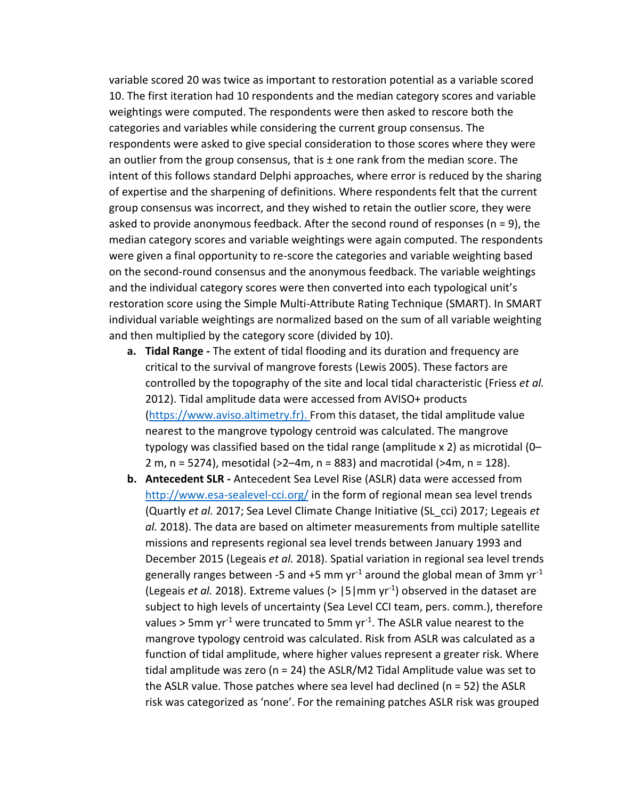variable scored 20 was twice as important to restoration potential as a variable scored 10. The first iteration had 10 respondents and the median category scores and variable weightings were computed. The respondents were then asked to rescore both the categories and variables while considering the current group consensus. The respondents were asked to give special consideration to those scores where they were an outlier from the group consensus, that is  $\pm$  one rank from the median score. The intent of this follows standard Delphi approaches, where error is reduced by the sharing of expertise and the sharpening of definitions. Where respondents felt that the current group consensus was incorrect, and they wished to retain the outlier score, they were asked to provide anonymous feedback. After the second round of responses ( $n = 9$ ), the median category scores and variable weightings were again computed. The respondents were given a final opportunity to re-score the categories and variable weighting based on the second-round consensus and the anonymous feedback. The variable weightings and the individual category scores were then converted into each typological unit's restoration score using the Simple Multi-Attribute Rating Technique (SMART). In SMART individual variable weightings are normalized based on the sum of all variable weighting and then multiplied by the category score (divided by 10).

- **a. Tidal Range -** The extent of tidal flooding and its duration and frequency are critical to the survival of mangrove forests (Lewis 2005). These factors are controlled by the topography of the site and local tidal characteristic (Friess *et al.* 2012). Tidal amplitude data were accessed from AVISO+ products [\(https://www.aviso.altimetry.fr\)](https://www.aviso.altimetry.fr/). From this dataset, the tidal amplitude value nearest to the mangrove typology centroid was calculated. The mangrove typology was classified based on the tidal range (amplitude x 2) as microtidal (0– 2 m, n = 5274), mesotidal (>2–4m, n = 883) and macrotidal (>4m, n = 128).
- **b. Antecedent SLR -** Antecedent Sea Level Rise (ASLR) data were accessed from <http://www.esa-sealevel-cci.org/> in the form of regional mean sea level trends (Quartly *et al.* 2017; Sea Level Climate Change Initiative (SL\_cci) 2017; Legeais *et al.* 2018). The data are based on altimeter measurements from multiple satellite missions and represents regional sea level trends between January 1993 and December 2015 (Legeais *et al.* 2018). Spatial variation in regional sea level trends generally ranges between -5 and +5 mm yr<sup>-1</sup> around the global mean of 3mm yr<sup>-1</sup> (Legeais *et al.* 2018). Extreme values (> |5|mm yr-1 ) observed in the dataset are subject to high levels of uncertainty (Sea Level CCI team, pers. comm.), therefore values > 5mm yr<sup>-1</sup> were truncated to 5mm yr<sup>-1</sup>. The ASLR value nearest to the mangrove typology centroid was calculated. Risk from ASLR was calculated as a function of tidal amplitude, where higher values represent a greater risk. Where tidal amplitude was zero ( $n = 24$ ) the ASLR/M2 Tidal Amplitude value was set to the ASLR value. Those patches where sea level had declined ( $n = 52$ ) the ASLR risk was categorized as 'none'. For the remaining patches ASLR risk was grouped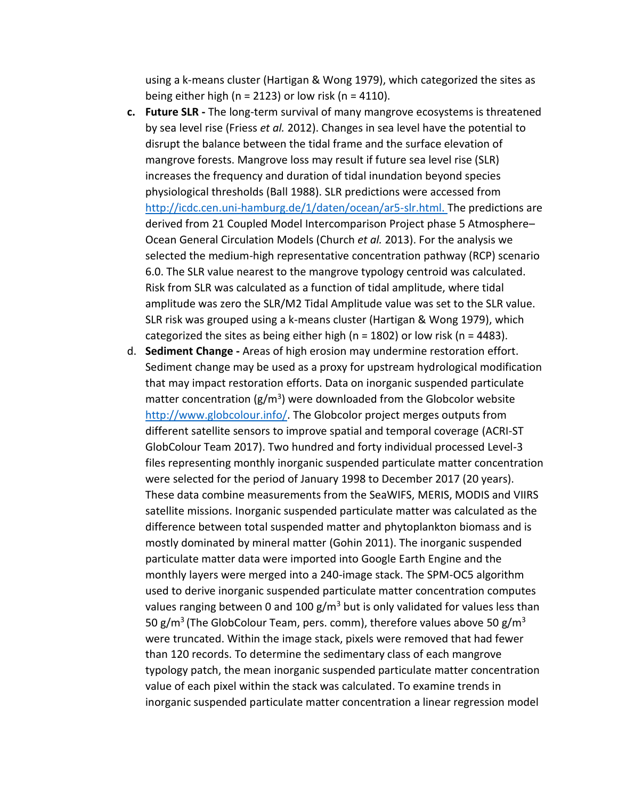using a k-means cluster (Hartigan & Wong 1979), which categorized the sites as being either high ( $n = 2123$ ) or low risk ( $n = 4110$ ).

- **c. Future SLR -** The long-term survival of many mangrove ecosystems is threatened by sea level rise (Friess *et al.* 2012). Changes in sea level have the potential to disrupt the balance between the tidal frame and the surface elevation of mangrove forests. Mangrove loss may result if future sea level rise (SLR) increases the frequency and duration of tidal inundation beyond species physiological thresholds (Ball 1988). SLR predictions were accessed from [http://icdc.cen.uni-hamburg.de/1/daten/ocean/ar5-slr.html.](http://icdc.cen.uni-hamburg.de/1/daten/ocean/ar5-slr.html) The predictions are derived from 21 Coupled Model Intercomparison Project phase 5 Atmosphere– Ocean General Circulation Models (Church *et al.* 2013). For the analysis we selected the medium-high representative concentration pathway (RCP) scenario 6.0. The SLR value nearest to the mangrove typology centroid was calculated. Risk from SLR was calculated as a function of tidal amplitude, where tidal amplitude was zero the SLR/M2 Tidal Amplitude value was set to the SLR value. SLR risk was grouped using a k-means cluster (Hartigan & Wong 1979), which categorized the sites as being either high ( $n = 1802$ ) or low risk ( $n = 4483$ ).
- d. **Sediment Change -** Areas of high erosion may undermine restoration effort. Sediment change may be used as a proxy for upstream hydrological modification that may impact restoration efforts. Data on inorganic suspended particulate matter concentration ( $g/m^3$ ) were downloaded from the Globcolor website [http://www.globcolour.info/.](http://www.globcolour.info/) The Globcolor project merges outputs from different satellite sensors to improve spatial and temporal coverage (ACRI-ST GlobColour Team 2017). Two hundred and forty individual processed Level-3 files representing monthly inorganic suspended particulate matter concentration were selected for the period of January 1998 to December 2017 (20 years). These data combine measurements from the SeaWIFS, MERIS, MODIS and VIIRS satellite missions. Inorganic suspended particulate matter was calculated as the difference between total suspended matter and phytoplankton biomass and is mostly dominated by mineral matter (Gohin 2011). The inorganic suspended particulate matter data were imported into Google Earth Engine and the monthly layers were merged into a 240-image stack. The SPM-OC5 algorithm used to derive inorganic suspended particulate matter concentration computes values ranging between 0 and 100  $g/m<sup>3</sup>$  but is only validated for values less than 50 g/m<sup>3</sup> (The GlobColour Team, pers. comm), therefore values above 50 g/m<sup>3</sup> were truncated. Within the image stack, pixels were removed that had fewer than 120 records. To determine the sedimentary class of each mangrove typology patch, the mean inorganic suspended particulate matter concentration value of each pixel within the stack was calculated. To examine trends in inorganic suspended particulate matter concentration a linear regression model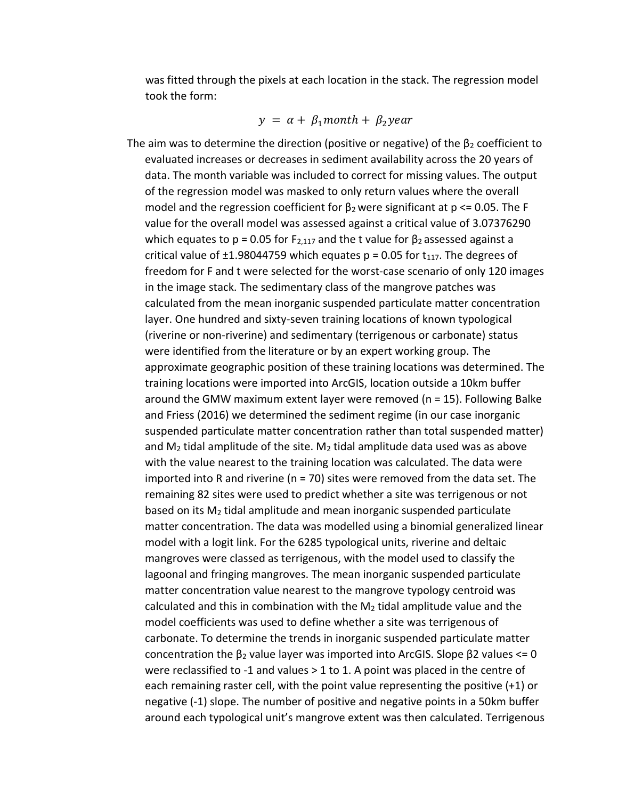was fitted through the pixels at each location in the stack. The regression model took the form:

$$
y = \alpha + \beta_1 \text{month} + \beta_2 \text{year}
$$

The aim was to determine the direction (positive or negative) of the  $\beta_2$  coefficient to evaluated increases or decreases in sediment availability across the 20 years of data. The month variable was included to correct for missing values. The output of the regression model was masked to only return values where the overall model and the regression coefficient for  $β_2$  were significant at  $p \le 0.05$ . The F value for the overall model was assessed against a critical value of 3.07376290 which equates to p = 0.05 for F<sub>2,117</sub> and the t value for  $\beta_2$  assessed against a critical value of  $\pm$ 1.98044759 which equates p = 0.05 for  $t_{117}$ . The degrees of freedom for F and t were selected for the worst-case scenario of only 120 images in the image stack. The sedimentary class of the mangrove patches was calculated from the mean inorganic suspended particulate matter concentration layer. One hundred and sixty-seven training locations of known typological (riverine or non-riverine) and sedimentary (terrigenous or carbonate) status were identified from the literature or by an expert working group. The approximate geographic position of these training locations was determined. The training locations were imported into ArcGIS, location outside a 10km buffer around the GMW maximum extent layer were removed (n = 15). Following Balke and Friess (2016) we determined the sediment regime (in our case inorganic suspended particulate matter concentration rather than total suspended matter) and  $M_2$  tidal amplitude of the site.  $M_2$  tidal amplitude data used was as above with the value nearest to the training location was calculated. The data were imported into R and riverine ( $n = 70$ ) sites were removed from the data set. The remaining 82 sites were used to predict whether a site was terrigenous or not based on its M<sup>2</sup> tidal amplitude and mean inorganic suspended particulate matter concentration. The data was modelled using a binomial generalized linear model with a logit link. For the 6285 typological units, riverine and deltaic mangroves were classed as terrigenous, with the model used to classify the lagoonal and fringing mangroves. The mean inorganic suspended particulate matter concentration value nearest to the mangrove typology centroid was calculated and this in combination with the M<sup>2</sup> tidal amplitude value and the model coefficients was used to define whether a site was terrigenous of carbonate. To determine the trends in inorganic suspended particulate matter concentration the  $β_2$  value layer was imported into ArcGIS. Slope  $β2$  values <= 0 were reclassified to -1 and values > 1 to 1. A point was placed in the centre of each remaining raster cell, with the point value representing the positive (+1) or negative (-1) slope. The number of positive and negative points in a 50km buffer around each typological unit's mangrove extent was then calculated. Terrigenous